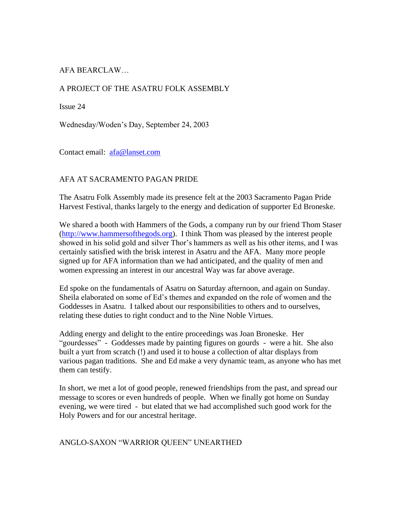# AFA BEARCLAW…

### A PROJECT OF THE ASATRU FOLK ASSEMBLY

Issue 24

Wednesday/Woden's Day, September 24, 2003

Contact email: [afa@lanset.com](mailto:afa@lanset.com)

### AFA AT SACRAMENTO PAGAN PRIDE

The Asatru Folk Assembly made its presence felt at the 2003 Sacramento Pagan Pride Harvest Festival, thanks largely to the energy and dedication of supporter Ed Broneske.

We shared a booth with Hammers of the Gods, a company run by our friend Thom Staser [\(http://www.hammersofthegods.org\)](http://www.hammersofthegods.org/). I think Thom was pleased by the interest people showed in his solid gold and silver Thor's hammers as well as his other items, and I was certainly satisfied with the brisk interest in Asatru and the AFA. Many more people signed up for AFA information than we had anticipated, and the quality of men and women expressing an interest in our ancestral Way was far above average.

Ed spoke on the fundamentals of Asatru on Saturday afternoon, and again on Sunday. Sheila elaborated on some of Ed's themes and expanded on the role of women and the Goddesses in Asatru. I talked about our responsibilities to others and to ourselves, relating these duties to right conduct and to the Nine Noble Virtues.

Adding energy and delight to the entire proceedings was Joan Broneske. Her "gourdesses" - Goddesses made by painting figures on gourds - were a hit. She also built a yurt from scratch (!) and used it to house a collection of altar displays from various pagan traditions. She and Ed make a very dynamic team, as anyone who has met them can testify.

In short, we met a lot of good people, renewed friendships from the past, and spread our message to scores or even hundreds of people. When we finally got home on Sunday evening, we were tired - but elated that we had accomplished such good work for the Holy Powers and for our ancestral heritage.

### ANGLO-SAXON "WARRIOR QUEEN" UNEARTHED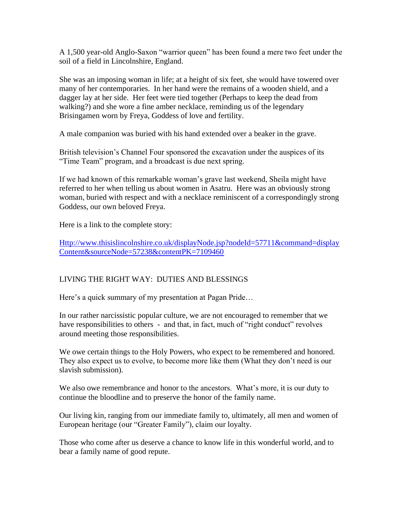A 1,500 year-old Anglo-Saxon "warrior queen" has been found a mere two feet under the soil of a field in Lincolnshire, England.

She was an imposing woman in life; at a height of six feet, she would have towered over many of her contemporaries. In her hand were the remains of a wooden shield, and a dagger lay at her side. Her feet were tied together (Perhaps to keep the dead from walking?) and she wore a fine amber necklace, reminding us of the legendary Brisingamen worn by Freya, Goddess of love and fertility.

A male companion was buried with his hand extended over a beaker in the grave.

British television's Channel Four sponsored the excavation under the auspices of its "Time Team" program, and a broadcast is due next spring.

If we had known of this remarkable woman's grave last weekend, Sheila might have referred to her when telling us about women in Asatru. Here was an obviously strong woman, buried with respect and with a necklace reminiscent of a correspondingly strong Goddess, our own beloved Freya.

Here is a link to the complete story:

[Http://www.thisislincolnshire.co.uk/displayNode.jsp?nodeId=57711&command=display](http://www.thisislincolnshire.co.uk/displayNode.jsp?nodeId=57711&command=displayContent&sourceNode=57238&contentPK=7109460) [Content&sourceNode=57238&contentPK=7109460](http://www.thisislincolnshire.co.uk/displayNode.jsp?nodeId=57711&command=displayContent&sourceNode=57238&contentPK=7109460)

## LIVING THE RIGHT WAY: DUTIES AND BLESSINGS

Here's a quick summary of my presentation at Pagan Pride…

In our rather narcissistic popular culture, we are not encouraged to remember that we have responsibilities to others - and that, in fact, much of "right conduct" revolves around meeting those responsibilities.

We owe certain things to the Holy Powers, who expect to be remembered and honored. They also expect us to evolve, to become more like them (What they don't need is our slavish submission).

We also owe remembrance and honor to the ancestors. What's more, it is our duty to continue the bloodline and to preserve the honor of the family name.

Our living kin, ranging from our immediate family to, ultimately, all men and women of European heritage (our "Greater Family"), claim our loyalty.

Those who come after us deserve a chance to know life in this wonderful world, and to bear a family name of good repute.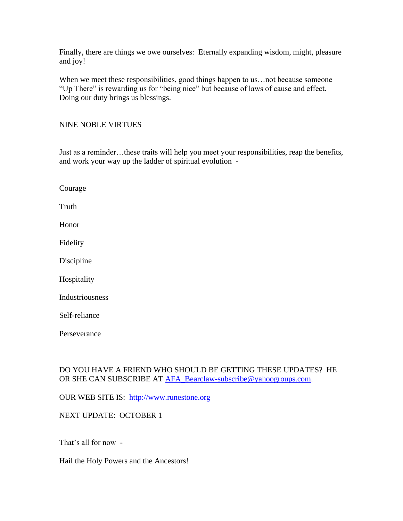Finally, there are things we owe ourselves: Eternally expanding wisdom, might, pleasure and joy!

When we meet these responsibilities, good things happen to us... not because someone "Up There" is rewarding us for "being nice" but because of laws of cause and effect. Doing our duty brings us blessings.

### NINE NOBLE VIRTUES

Just as a reminder…these traits will help you meet your responsibilities, reap the benefits, and work your way up the ladder of spiritual evolution -

| Courage         |
|-----------------|
| Truth           |
| Honor           |
| Fidelity        |
| Discipline      |
| Hospitality     |
| Industriousness |
| Self-reliance   |
| Perseverance    |

## DO YOU HAVE A FRIEND WHO SHOULD BE GETTING THESE UPDATES? HE OR SHE CAN SUBSCRIBE AT [AFA\\_Bearclaw-subscribe@yahoogroups.com.](mailto:AFA_Bearclaw-subscribe@yahoogroups.com)

OUR WEB SITE IS: [http://www.runestone.org](http://www.runestone.org/)

### NEXT UPDATE: OCTOBER 1

That's all for now -

Hail the Holy Powers and the Ancestors!